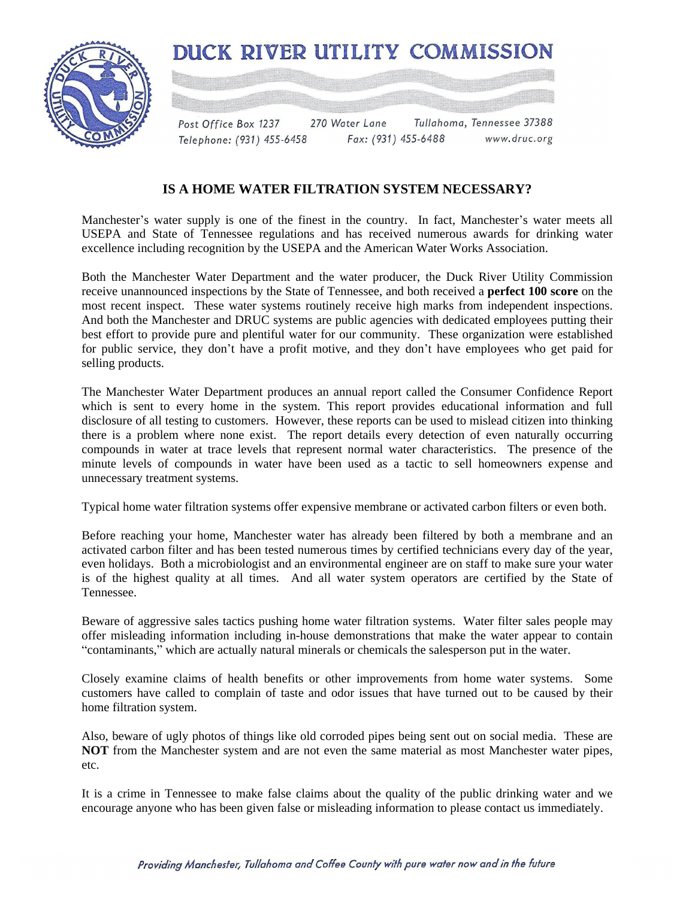



Post Office Box 1237 270 Water Lane Tullahoma, Tennessee 37388 Fax: (931) 455-6488 www.druc.org Telephone: (931) 455-6458

## **IS A HOME WATER FILTRATION SYSTEM NECESSARY?**

Manchester's water supply is one of the finest in the country. In fact, Manchester's water meets all USEPA and State of Tennessee regulations and has received numerous awards for drinking water excellence including recognition by the USEPA and the American Water Works Association.

Both the Manchester Water Department and the water producer, the Duck River Utility Commission receive unannounced inspections by the State of Tennessee, and both received a **perfect 100 score** on the most recent inspect. These water systems routinely receive high marks from independent inspections. And both the Manchester and DRUC systems are public agencies with dedicated employees putting their best effort to provide pure and plentiful water for our community. These organization were established for public service, they don't have a profit motive, and they don't have employees who get paid for selling products.

The Manchester Water Department produces an annual report called the Consumer Confidence Report which is sent to every home in the system. This report provides educational information and full disclosure of all testing to customers. However, these reports can be used to mislead citizen into thinking there is a problem where none exist. The report details every detection of even naturally occurring compounds in water at trace levels that represent normal water characteristics. The presence of the minute levels of compounds in water have been used as a tactic to sell homeowners expense and unnecessary treatment systems.

Typical home water filtration systems offer expensive membrane or activated carbon filters or even both.

Before reaching your home, Manchester water has already been filtered by both a membrane and an activated carbon filter and has been tested numerous times by certified technicians every day of the year, even holidays. Both a microbiologist and an environmental engineer are on staff to make sure your water is of the highest quality at all times. And all water system operators are certified by the State of Tennessee.

Beware of aggressive sales tactics pushing home water filtration systems. Water filter sales people may offer misleading information including in-house demonstrations that make the water appear to contain "contaminants," which are actually natural minerals or chemicals the salesperson put in the water.

Closely examine claims of health benefits or other improvements from home water systems. Some customers have called to complain of taste and odor issues that have turned out to be caused by their home filtration system.

Also, beware of ugly photos of things like old corroded pipes being sent out on social media. These are **NOT** from the Manchester system and are not even the same material as most Manchester water pipes, etc.

It is a crime in Tennessee to make false claims about the quality of the public drinking water and we encourage anyone who has been given false or misleading information to please contact us immediately.